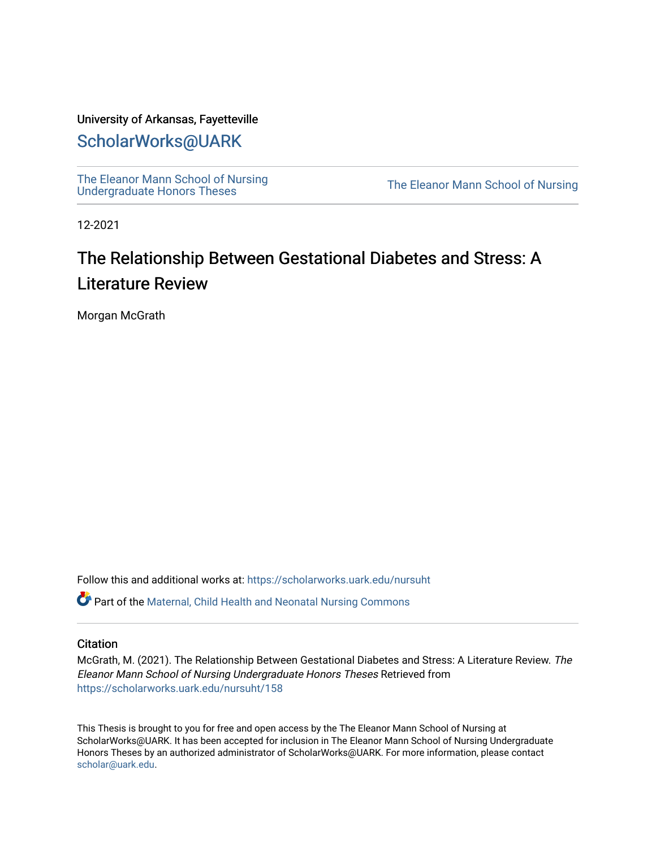# University of Arkansas, Fayetteville

# [ScholarWorks@UARK](https://scholarworks.uark.edu/)

[The Eleanor Mann School of Nursing](https://scholarworks.uark.edu/nursuht)<br>Undergraduate Honors Theses

The Eleanor Mann School of Nursing

12-2021

# The Relationship Between Gestational Diabetes and Stress: A Literature Review

Morgan McGrath

Follow this and additional works at: [https://scholarworks.uark.edu/nursuht](https://scholarworks.uark.edu/nursuht?utm_source=scholarworks.uark.edu%2Fnursuht%2F158&utm_medium=PDF&utm_campaign=PDFCoverPages)

Part of the [Maternal, Child Health and Neonatal Nursing Commons](http://network.bepress.com/hgg/discipline/721?utm_source=scholarworks.uark.edu%2Fnursuht%2F158&utm_medium=PDF&utm_campaign=PDFCoverPages) 

# **Citation**

McGrath, M. (2021). The Relationship Between Gestational Diabetes and Stress: A Literature Review. The Eleanor Mann School of Nursing Undergraduate Honors Theses Retrieved from [https://scholarworks.uark.edu/nursuht/158](https://scholarworks.uark.edu/nursuht/158?utm_source=scholarworks.uark.edu%2Fnursuht%2F158&utm_medium=PDF&utm_campaign=PDFCoverPages)

This Thesis is brought to you for free and open access by the The Eleanor Mann School of Nursing at ScholarWorks@UARK. It has been accepted for inclusion in The Eleanor Mann School of Nursing Undergraduate Honors Theses by an authorized administrator of ScholarWorks@UARK. For more information, please contact [scholar@uark.edu](mailto:scholar@uark.edu).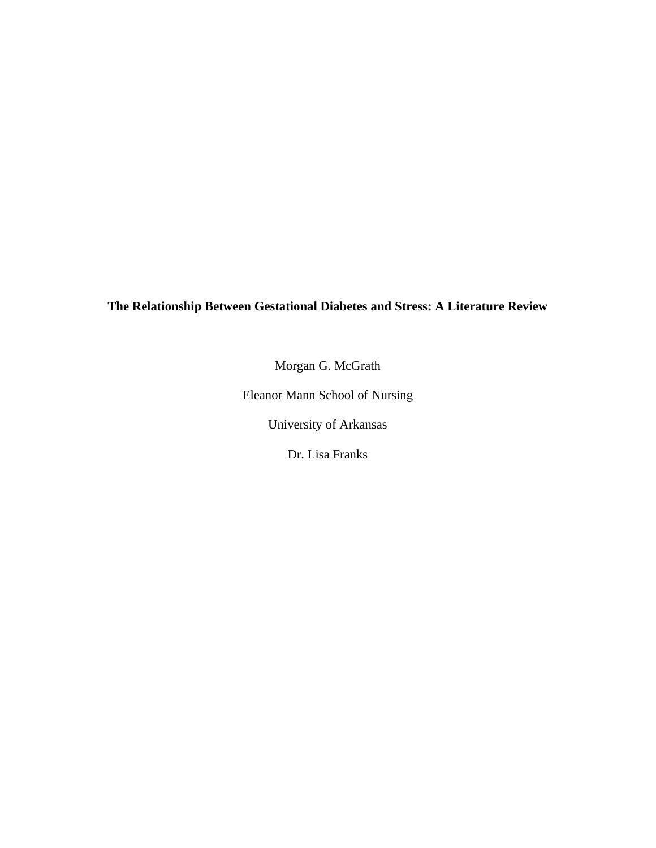# **The Relationship Between Gestational Diabetes and Stress: A Literature Review**

Morgan G. McGrath

Eleanor Mann School of Nursing

University of Arkansas

Dr. Lisa Franks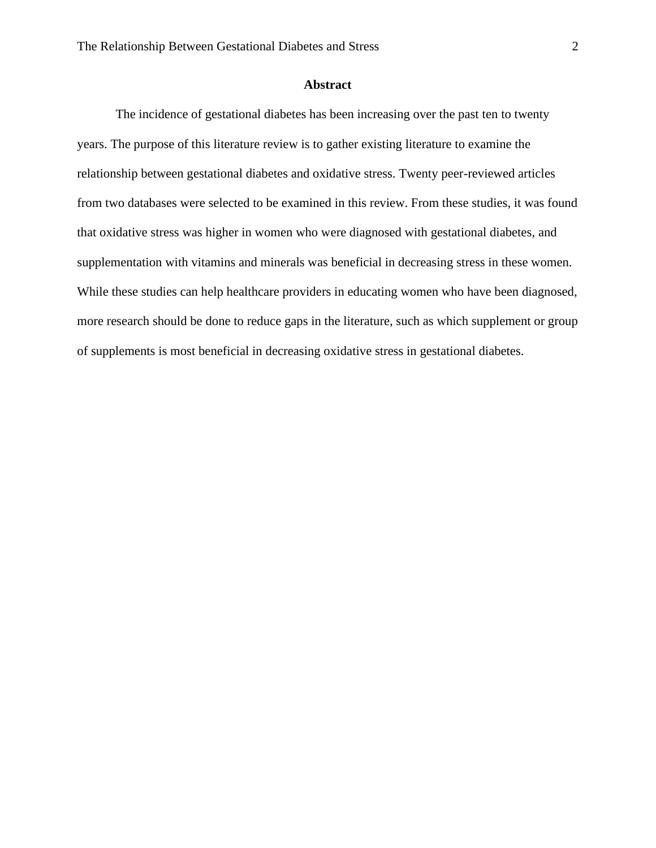## **Abstract**

The incidence of gestational diabetes has been increasing over the past ten to twenty years. The purpose of this literature review is to gather existing literature to examine the relationship between gestational diabetes and oxidative stress. Twenty peer-reviewed articles from two databases were selected to be examined in this review. From these studies, it was found that oxidative stress was higher in women who were diagnosed with gestational diabetes, and supplementation with vitamins and minerals was beneficial in decreasing stress in these women. While these studies can help healthcare providers in educating women who have been diagnosed, more research should be done to reduce gaps in the literature, such as which supplement or group of supplements is most beneficial in decreasing oxidative stress in gestational diabetes.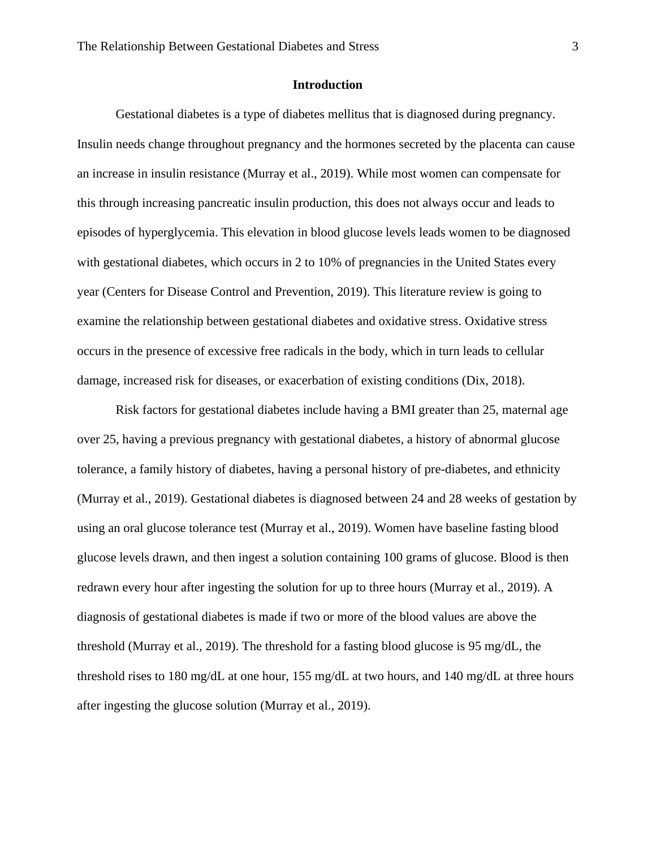# **Introduction**

Gestational diabetes is a type of diabetes mellitus that is diagnosed during pregnancy. Insulin needs change throughout pregnancy and the hormones secreted by the placenta can cause an increase in insulin resistance (Murray et al., 2019). While most women can compensate for this through increasing pancreatic insulin production, this does not always occur and leads to episodes of hyperglycemia. This elevation in blood glucose levels leads women to be diagnosed with gestational diabetes, which occurs in 2 to 10% of pregnancies in the United States every year (Centers for Disease Control and Prevention, 2019). This literature review is going to examine the relationship between gestational diabetes and oxidative stress. Oxidative stress occurs in the presence of excessive free radicals in the body, which in turn leads to cellular damage, increased risk for diseases, or exacerbation of existing conditions (Dix, 2018).

Risk factors for gestational diabetes include having a BMI greater than 25, maternal age over 25, having a previous pregnancy with gestational diabetes, a history of abnormal glucose tolerance, a family history of diabetes, having a personal history of pre-diabetes, and ethnicity (Murray et al., 2019). Gestational diabetes is diagnosed between 24 and 28 weeks of gestation by using an oral glucose tolerance test (Murray et al., 2019). Women have baseline fasting blood glucose levels drawn, and then ingest a solution containing 100 grams of glucose. Blood is then redrawn every hour after ingesting the solution for up to three hours (Murray et al., 2019). A diagnosis of gestational diabetes is made if two or more of the blood values are above the threshold (Murray et al., 2019). The threshold for a fasting blood glucose is 95 mg/dL, the threshold rises to 180 mg/dL at one hour, 155 mg/dL at two hours, and 140 mg/dL at three hours after ingesting the glucose solution (Murray et al., 2019).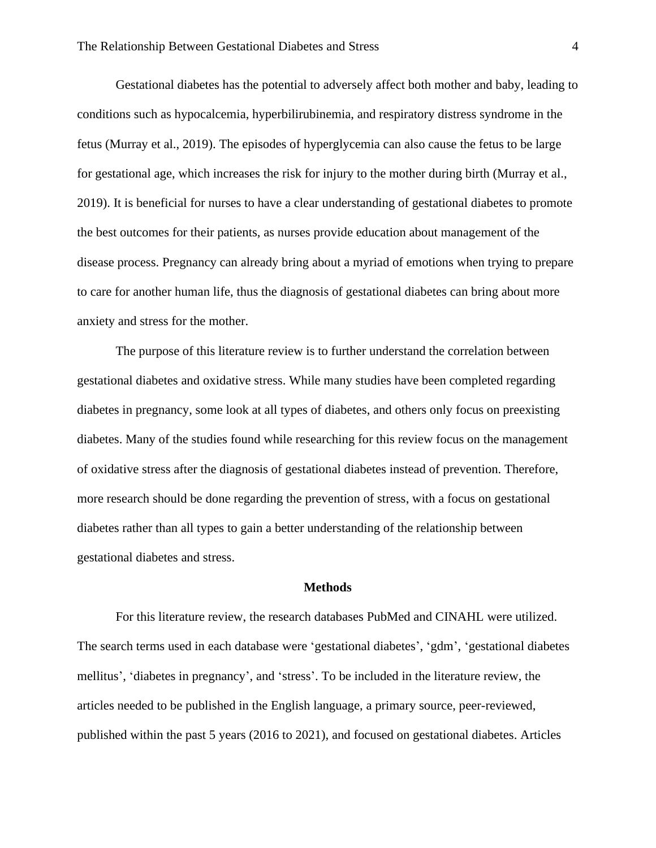Gestational diabetes has the potential to adversely affect both mother and baby, leading to conditions such as hypocalcemia, hyperbilirubinemia, and respiratory distress syndrome in the fetus (Murray et al., 2019). The episodes of hyperglycemia can also cause the fetus to be large for gestational age, which increases the risk for injury to the mother during birth (Murray et al., 2019). It is beneficial for nurses to have a clear understanding of gestational diabetes to promote the best outcomes for their patients, as nurses provide education about management of the disease process. Pregnancy can already bring about a myriad of emotions when trying to prepare to care for another human life, thus the diagnosis of gestational diabetes can bring about more anxiety and stress for the mother.

The purpose of this literature review is to further understand the correlation between gestational diabetes and oxidative stress. While many studies have been completed regarding diabetes in pregnancy, some look at all types of diabetes, and others only focus on preexisting diabetes. Many of the studies found while researching for this review focus on the management of oxidative stress after the diagnosis of gestational diabetes instead of prevention. Therefore, more research should be done regarding the prevention of stress, with a focus on gestational diabetes rather than all types to gain a better understanding of the relationship between gestational diabetes and stress.

#### **Methods**

For this literature review, the research databases PubMed and CINAHL were utilized. The search terms used in each database were 'gestational diabetes', 'gdm', 'gestational diabetes mellitus', 'diabetes in pregnancy', and 'stress'. To be included in the literature review, the articles needed to be published in the English language, a primary source, peer-reviewed, published within the past 5 years (2016 to 2021), and focused on gestational diabetes. Articles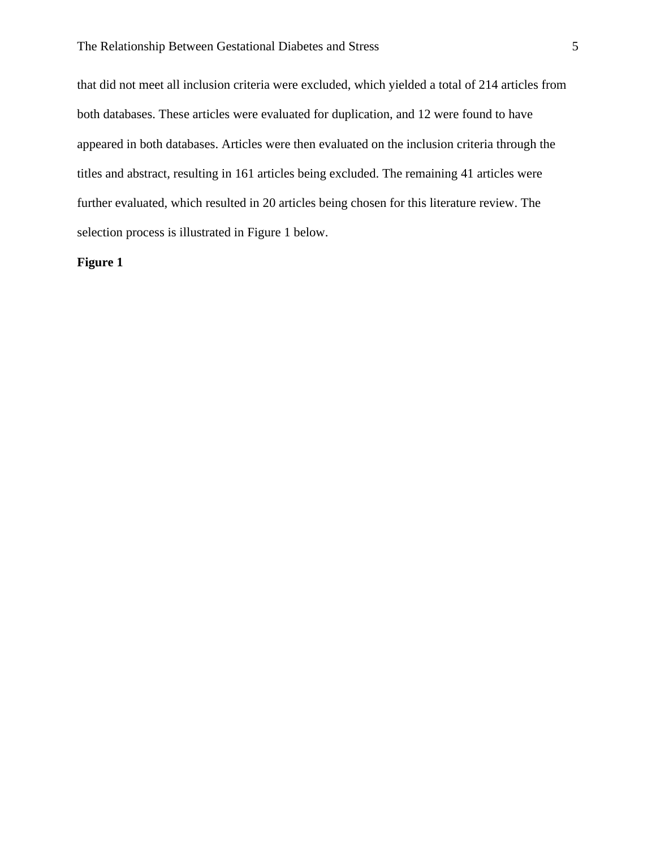that did not meet all inclusion criteria were excluded, which yielded a total of 214 articles from both databases. These articles were evaluated for duplication, and 12 were found to have appeared in both databases. Articles were then evaluated on the inclusion criteria through the titles and abstract, resulting in 161 articles being excluded. The remaining 41 articles were further evaluated, which resulted in 20 articles being chosen for this literature review. The selection process is illustrated in Figure 1 below.

## **Figure 1**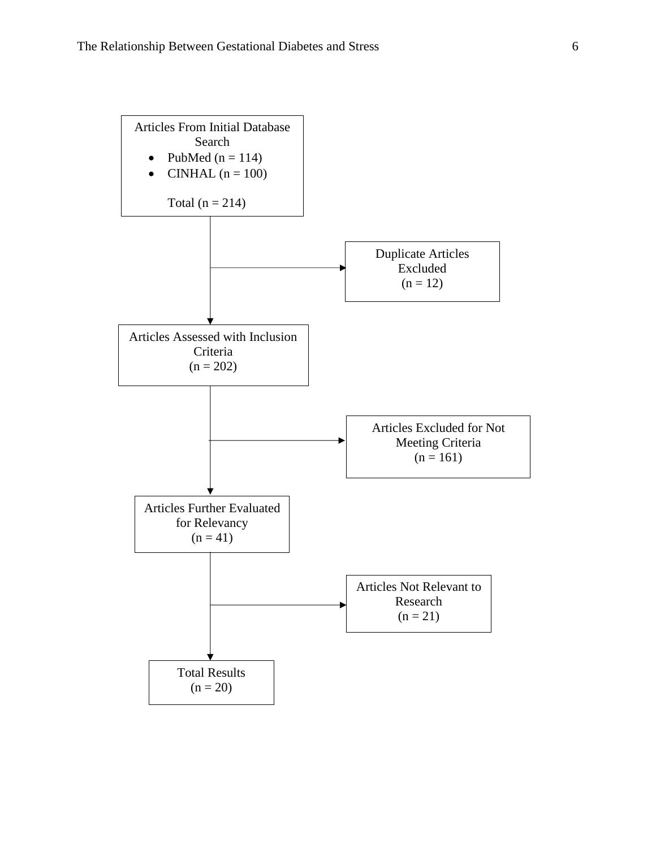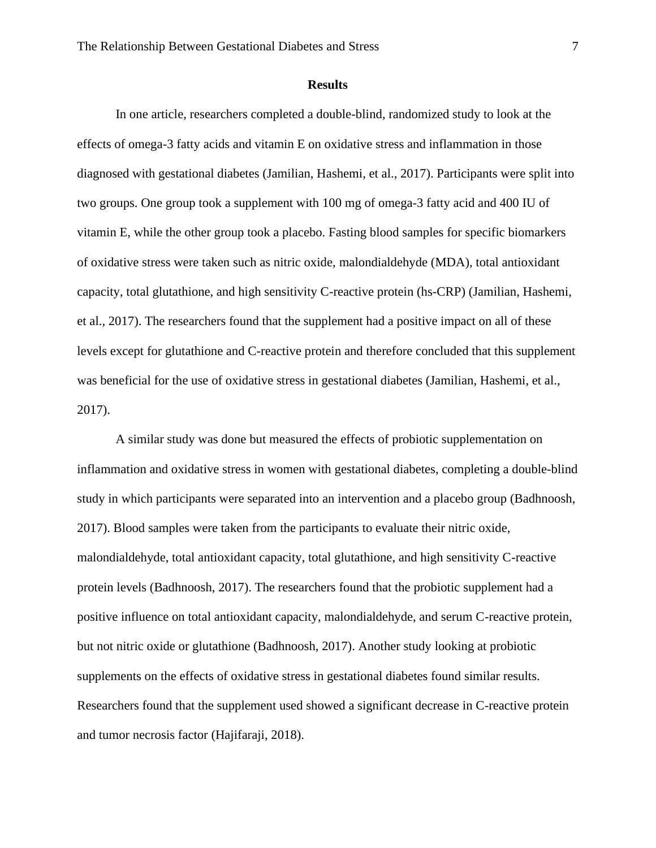#### **Results**

In one article, researchers completed a double-blind, randomized study to look at the effects of omega-3 fatty acids and vitamin E on oxidative stress and inflammation in those diagnosed with gestational diabetes (Jamilian, Hashemi, et al., 2017). Participants were split into two groups. One group took a supplement with 100 mg of omega-3 fatty acid and 400 IU of vitamin E, while the other group took a placebo. Fasting blood samples for specific biomarkers of oxidative stress were taken such as nitric oxide, malondialdehyde (MDA), total antioxidant capacity, total glutathione, and high sensitivity C-reactive protein (hs-CRP) (Jamilian, Hashemi, et al., 2017). The researchers found that the supplement had a positive impact on all of these levels except for glutathione and C-reactive protein and therefore concluded that this supplement was beneficial for the use of oxidative stress in gestational diabetes (Jamilian, Hashemi, et al., 2017).

A similar study was done but measured the effects of probiotic supplementation on inflammation and oxidative stress in women with gestational diabetes, completing a double-blind study in which participants were separated into an intervention and a placebo group (Badhnoosh, 2017). Blood samples were taken from the participants to evaluate their nitric oxide, malondialdehyde, total antioxidant capacity, total glutathione, and high sensitivity C-reactive protein levels (Badhnoosh, 2017). The researchers found that the probiotic supplement had a positive influence on total antioxidant capacity, malondialdehyde, and serum C-reactive protein, but not nitric oxide or glutathione (Badhnoosh, 2017). Another study looking at probiotic supplements on the effects of oxidative stress in gestational diabetes found similar results. Researchers found that the supplement used showed a significant decrease in C-reactive protein and tumor necrosis factor (Hajifaraji, 2018).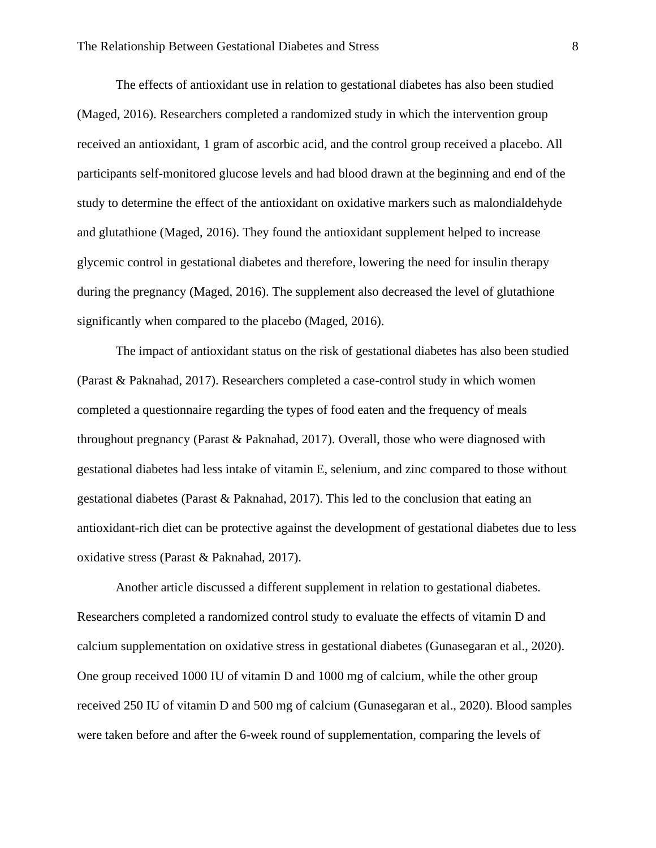The effects of antioxidant use in relation to gestational diabetes has also been studied (Maged, 2016). Researchers completed a randomized study in which the intervention group received an antioxidant, 1 gram of ascorbic acid, and the control group received a placebo. All participants self-monitored glucose levels and had blood drawn at the beginning and end of the study to determine the effect of the antioxidant on oxidative markers such as malondialdehyde and glutathione (Maged, 2016). They found the antioxidant supplement helped to increase glycemic control in gestational diabetes and therefore, lowering the need for insulin therapy during the pregnancy (Maged, 2016). The supplement also decreased the level of glutathione significantly when compared to the placebo (Maged, 2016).

The impact of antioxidant status on the risk of gestational diabetes has also been studied (Parast & Paknahad, 2017). Researchers completed a case-control study in which women completed a questionnaire regarding the types of food eaten and the frequency of meals throughout pregnancy (Parast & Paknahad, 2017). Overall, those who were diagnosed with gestational diabetes had less intake of vitamin E, selenium, and zinc compared to those without gestational diabetes (Parast & Paknahad, 2017). This led to the conclusion that eating an antioxidant-rich diet can be protective against the development of gestational diabetes due to less oxidative stress (Parast & Paknahad, 2017).

Another article discussed a different supplement in relation to gestational diabetes. Researchers completed a randomized control study to evaluate the effects of vitamin D and calcium supplementation on oxidative stress in gestational diabetes (Gunasegaran et al., 2020). One group received 1000 IU of vitamin D and 1000 mg of calcium, while the other group received 250 IU of vitamin D and 500 mg of calcium (Gunasegaran et al., 2020). Blood samples were taken before and after the 6-week round of supplementation, comparing the levels of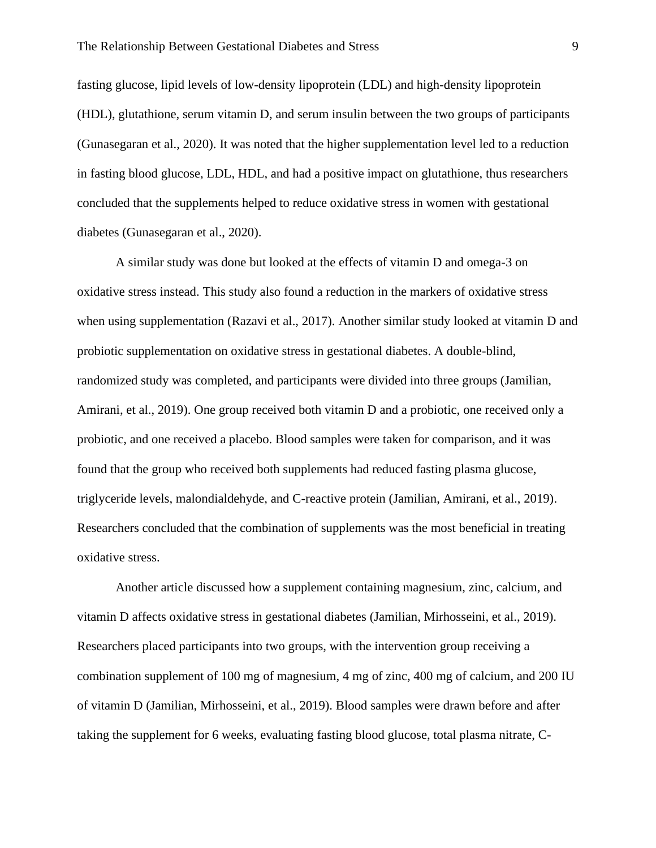fasting glucose, lipid levels of low-density lipoprotein (LDL) and high-density lipoprotein (HDL), glutathione, serum vitamin D, and serum insulin between the two groups of participants (Gunasegaran et al., 2020). It was noted that the higher supplementation level led to a reduction in fasting blood glucose, LDL, HDL, and had a positive impact on glutathione, thus researchers concluded that the supplements helped to reduce oxidative stress in women with gestational diabetes (Gunasegaran et al., 2020).

A similar study was done but looked at the effects of vitamin D and omega-3 on oxidative stress instead. This study also found a reduction in the markers of oxidative stress when using supplementation (Razavi et al., 2017). Another similar study looked at vitamin D and probiotic supplementation on oxidative stress in gestational diabetes. A double-blind, randomized study was completed, and participants were divided into three groups (Jamilian, Amirani, et al., 2019). One group received both vitamin D and a probiotic, one received only a probiotic, and one received a placebo. Blood samples were taken for comparison, and it was found that the group who received both supplements had reduced fasting plasma glucose, triglyceride levels, malondialdehyde, and C-reactive protein (Jamilian, Amirani, et al., 2019). Researchers concluded that the combination of supplements was the most beneficial in treating oxidative stress.

Another article discussed how a supplement containing magnesium, zinc, calcium, and vitamin D affects oxidative stress in gestational diabetes (Jamilian, Mirhosseini, et al., 2019). Researchers placed participants into two groups, with the intervention group receiving a combination supplement of 100 mg of magnesium, 4 mg of zinc, 400 mg of calcium, and 200 IU of vitamin D (Jamilian, Mirhosseini, et al., 2019). Blood samples were drawn before and after taking the supplement for 6 weeks, evaluating fasting blood glucose, total plasma nitrate, C-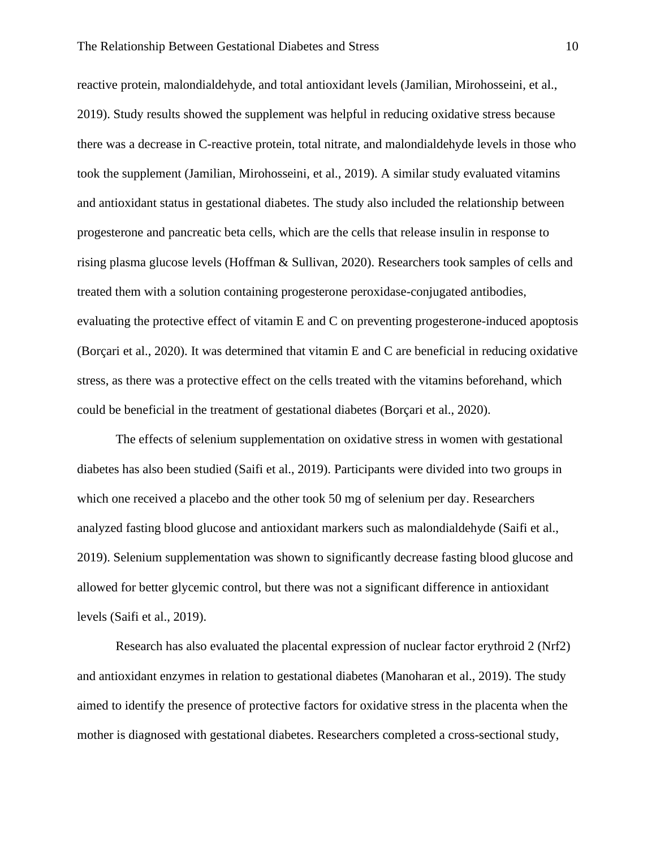reactive protein, malondialdehyde, and total antioxidant levels (Jamilian, Mirohosseini, et al., 2019). Study results showed the supplement was helpful in reducing oxidative stress because there was a decrease in C-reactive protein, total nitrate, and malondialdehyde levels in those who took the supplement (Jamilian, Mirohosseini, et al., 2019). A similar study evaluated vitamins and antioxidant status in gestational diabetes. The study also included the relationship between progesterone and pancreatic beta cells, which are the cells that release insulin in response to rising plasma glucose levels (Hoffman & Sullivan, 2020). Researchers took samples of cells and treated them with a solution containing progesterone peroxidase-conjugated antibodies, evaluating the protective effect of vitamin E and C on preventing progesterone-induced apoptosis (Borçari et al., 2020). It was determined that vitamin E and C are beneficial in reducing oxidative stress, as there was a protective effect on the cells treated with the vitamins beforehand, which could be beneficial in the treatment of gestational diabetes (Borçari et al., 2020).

The effects of selenium supplementation on oxidative stress in women with gestational diabetes has also been studied (Saifi et al., 2019). Participants were divided into two groups in which one received a placebo and the other took 50 mg of selenium per day. Researchers analyzed fasting blood glucose and antioxidant markers such as malondialdehyde (Saifi et al., 2019). Selenium supplementation was shown to significantly decrease fasting blood glucose and allowed for better glycemic control, but there was not a significant difference in antioxidant levels (Saifi et al., 2019).

Research has also evaluated the placental expression of nuclear factor erythroid 2 (Nrf2) and antioxidant enzymes in relation to gestational diabetes (Manoharan et al., 2019). The study aimed to identify the presence of protective factors for oxidative stress in the placenta when the mother is diagnosed with gestational diabetes. Researchers completed a cross-sectional study,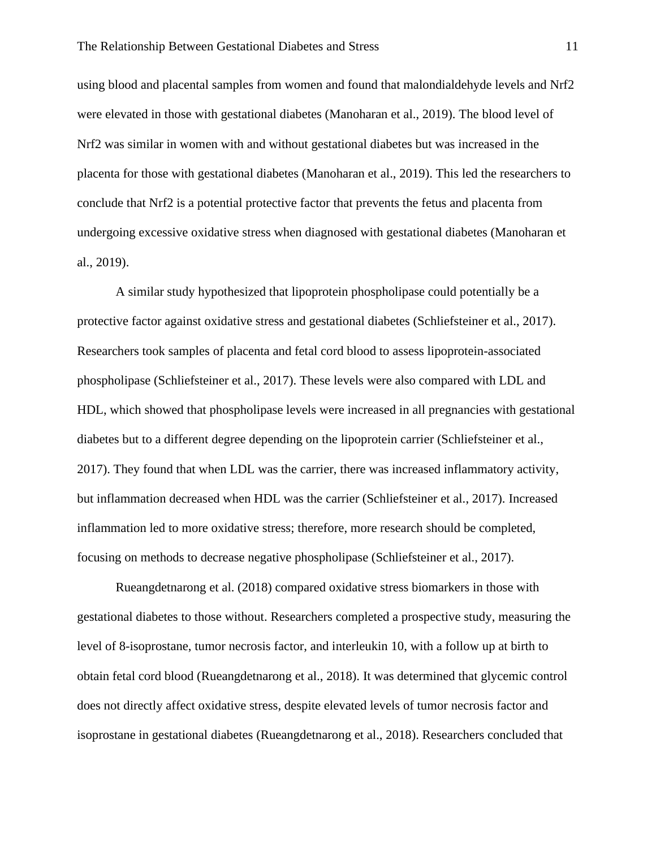using blood and placental samples from women and found that malondialdehyde levels and Nrf2 were elevated in those with gestational diabetes (Manoharan et al., 2019). The blood level of Nrf2 was similar in women with and without gestational diabetes but was increased in the placenta for those with gestational diabetes (Manoharan et al., 2019). This led the researchers to conclude that Nrf2 is a potential protective factor that prevents the fetus and placenta from undergoing excessive oxidative stress when diagnosed with gestational diabetes (Manoharan et al., 2019).

A similar study hypothesized that lipoprotein phospholipase could potentially be a protective factor against oxidative stress and gestational diabetes (Schliefsteiner et al., 2017). Researchers took samples of placenta and fetal cord blood to assess lipoprotein-associated phospholipase (Schliefsteiner et al., 2017). These levels were also compared with LDL and HDL, which showed that phospholipase levels were increased in all pregnancies with gestational diabetes but to a different degree depending on the lipoprotein carrier (Schliefsteiner et al., 2017). They found that when LDL was the carrier, there was increased inflammatory activity, but inflammation decreased when HDL was the carrier (Schliefsteiner et al., 2017). Increased inflammation led to more oxidative stress; therefore, more research should be completed, focusing on methods to decrease negative phospholipase (Schliefsteiner et al., 2017).

Rueangdetnarong et al. (2018) compared oxidative stress biomarkers in those with gestational diabetes to those without. Researchers completed a prospective study, measuring the level of 8-isoprostane, tumor necrosis factor, and interleukin 10, with a follow up at birth to obtain fetal cord blood (Rueangdetnarong et al., 2018). It was determined that glycemic control does not directly affect oxidative stress, despite elevated levels of tumor necrosis factor and isoprostane in gestational diabetes (Rueangdetnarong et al., 2018). Researchers concluded that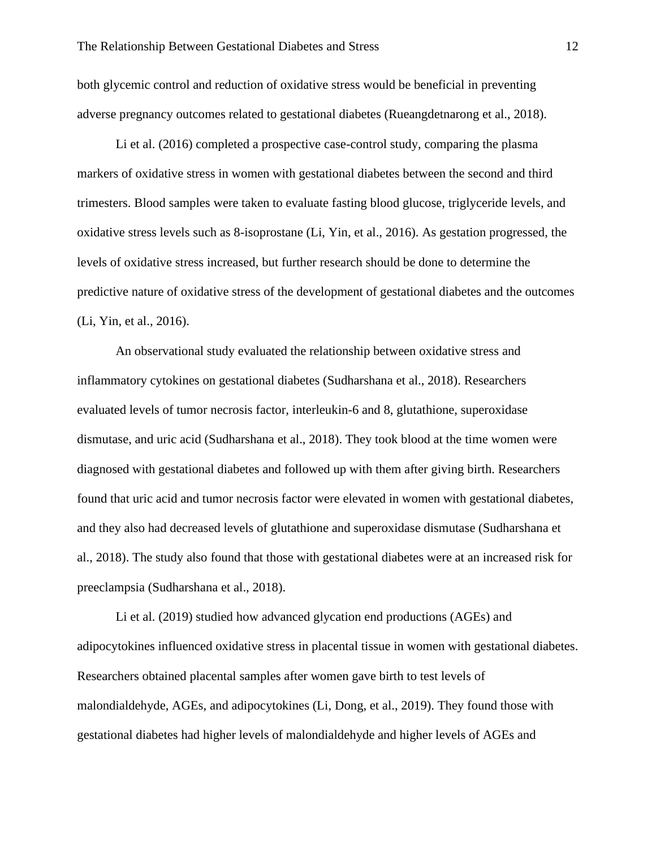both glycemic control and reduction of oxidative stress would be beneficial in preventing adverse pregnancy outcomes related to gestational diabetes (Rueangdetnarong et al., 2018).

Li et al. (2016) completed a prospective case-control study, comparing the plasma markers of oxidative stress in women with gestational diabetes between the second and third trimesters. Blood samples were taken to evaluate fasting blood glucose, triglyceride levels, and oxidative stress levels such as 8-isoprostane (Li, Yin, et al., 2016). As gestation progressed, the levels of oxidative stress increased, but further research should be done to determine the predictive nature of oxidative stress of the development of gestational diabetes and the outcomes (Li, Yin, et al., 2016).

An observational study evaluated the relationship between oxidative stress and inflammatory cytokines on gestational diabetes (Sudharshana et al., 2018). Researchers evaluated levels of tumor necrosis factor, interleukin-6 and 8, glutathione, superoxidase dismutase, and uric acid (Sudharshana et al., 2018). They took blood at the time women were diagnosed with gestational diabetes and followed up with them after giving birth. Researchers found that uric acid and tumor necrosis factor were elevated in women with gestational diabetes, and they also had decreased levels of glutathione and superoxidase dismutase (Sudharshana et al., 2018). The study also found that those with gestational diabetes were at an increased risk for preeclampsia (Sudharshana et al., 2018).

Li et al. (2019) studied how advanced glycation end productions (AGEs) and adipocytokines influenced oxidative stress in placental tissue in women with gestational diabetes. Researchers obtained placental samples after women gave birth to test levels of malondialdehyde, AGEs, and adipocytokines (Li, Dong, et al., 2019). They found those with gestational diabetes had higher levels of malondialdehyde and higher levels of AGEs and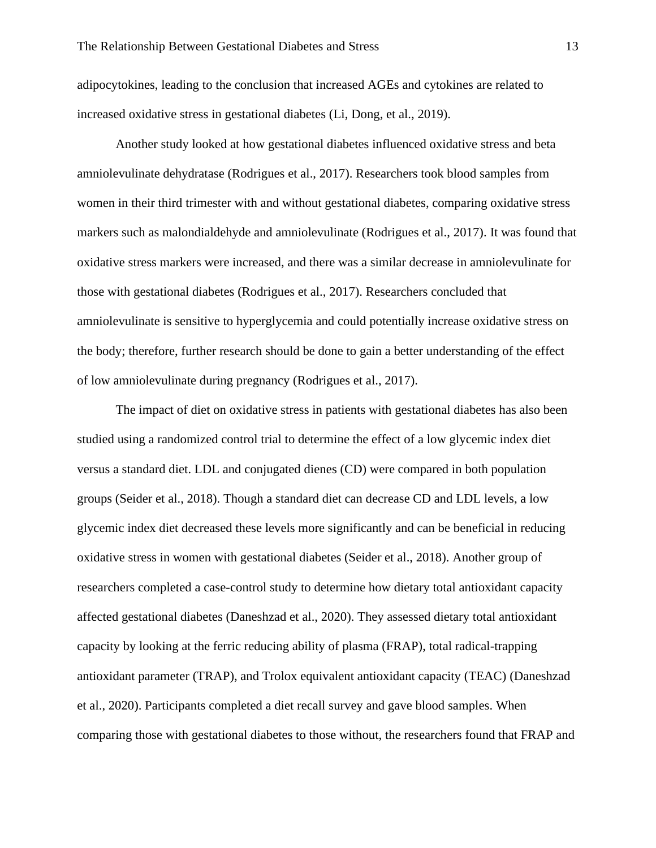adipocytokines, leading to the conclusion that increased AGEs and cytokines are related to increased oxidative stress in gestational diabetes (Li, Dong, et al., 2019).

Another study looked at how gestational diabetes influenced oxidative stress and beta amniolevulinate dehydratase (Rodrigues et al., 2017). Researchers took blood samples from women in their third trimester with and without gestational diabetes, comparing oxidative stress markers such as malondialdehyde and amniolevulinate (Rodrigues et al., 2017). It was found that oxidative stress markers were increased, and there was a similar decrease in amniolevulinate for those with gestational diabetes (Rodrigues et al., 2017). Researchers concluded that amniolevulinate is sensitive to hyperglycemia and could potentially increase oxidative stress on the body; therefore, further research should be done to gain a better understanding of the effect of low amniolevulinate during pregnancy (Rodrigues et al., 2017).

The impact of diet on oxidative stress in patients with gestational diabetes has also been studied using a randomized control trial to determine the effect of a low glycemic index diet versus a standard diet. LDL and conjugated dienes (CD) were compared in both population groups (Seider et al., 2018). Though a standard diet can decrease CD and LDL levels, a low glycemic index diet decreased these levels more significantly and can be beneficial in reducing oxidative stress in women with gestational diabetes (Seider et al., 2018). Another group of researchers completed a case-control study to determine how dietary total antioxidant capacity affected gestational diabetes (Daneshzad et al., 2020). They assessed dietary total antioxidant capacity by looking at the ferric reducing ability of plasma (FRAP), total radical-trapping antioxidant parameter (TRAP), and Trolox equivalent antioxidant capacity (TEAC) (Daneshzad et al., 2020). Participants completed a diet recall survey and gave blood samples. When comparing those with gestational diabetes to those without, the researchers found that FRAP and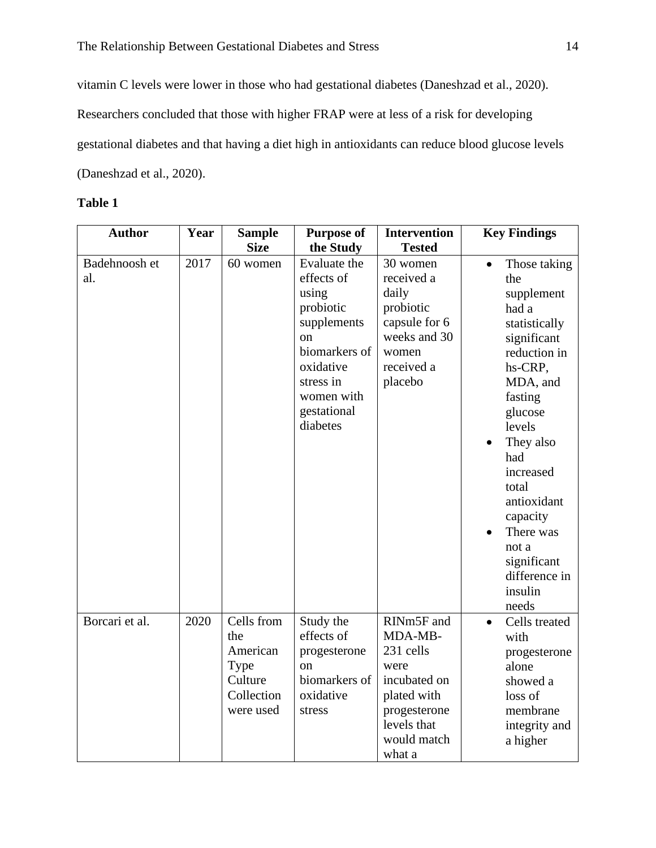vitamin C levels were lower in those who had gestational diabetes (Daneshzad et al., 2020). Researchers concluded that those with higher FRAP were at less of a risk for developing gestational diabetes and that having a diet high in antioxidants can reduce blood glucose levels (Daneshzad et al., 2020).

# **Table 1**

| <b>Author</b>        | Year | <b>Sample</b><br><b>Size</b>                                                | <b>Purpose of</b>                                                                                                                                                                 | <b>Intervention</b><br><b>Tested</b>                                                                                              | <b>Key Findings</b>                                                                                                                                                                                                                                                                              |
|----------------------|------|-----------------------------------------------------------------------------|-----------------------------------------------------------------------------------------------------------------------------------------------------------------------------------|-----------------------------------------------------------------------------------------------------------------------------------|--------------------------------------------------------------------------------------------------------------------------------------------------------------------------------------------------------------------------------------------------------------------------------------------------|
| Badehnoosh et<br>al. | 2017 | 60 women                                                                    | the Study<br>Evaluate the<br>effects of<br>using<br>probiotic<br>supplements<br><sub>on</sub><br>biomarkers of<br>oxidative<br>stress in<br>women with<br>gestational<br>diabetes | 30 women<br>received a<br>daily<br>probiotic<br>capsule for 6<br>weeks and 30<br>women<br>received a<br>placebo                   | Those taking<br>the<br>supplement<br>had a<br>statistically<br>significant<br>reduction in<br>hs-CRP,<br>MDA, and<br>fasting<br>glucose<br>levels<br>They also<br>had<br>increased<br>total<br>antioxidant<br>capacity<br>There was<br>not a<br>significant<br>difference in<br>insulin<br>needs |
| Borcari et al.       | 2020 | Cells from<br>the<br>American<br>Type<br>Culture<br>Collection<br>were used | Study the<br>effects of<br>progesterone<br>on<br>biomarkers of<br>oxidative<br>stress                                                                                             | RINm5F and<br>MDA-MB-<br>231 cells<br>were<br>incubated on<br>plated with<br>progesterone<br>levels that<br>would match<br>what a | Cells treated<br>$\bullet$<br>with<br>progesterone<br>alone<br>showed a<br>loss of<br>membrane<br>integrity and<br>a higher                                                                                                                                                                      |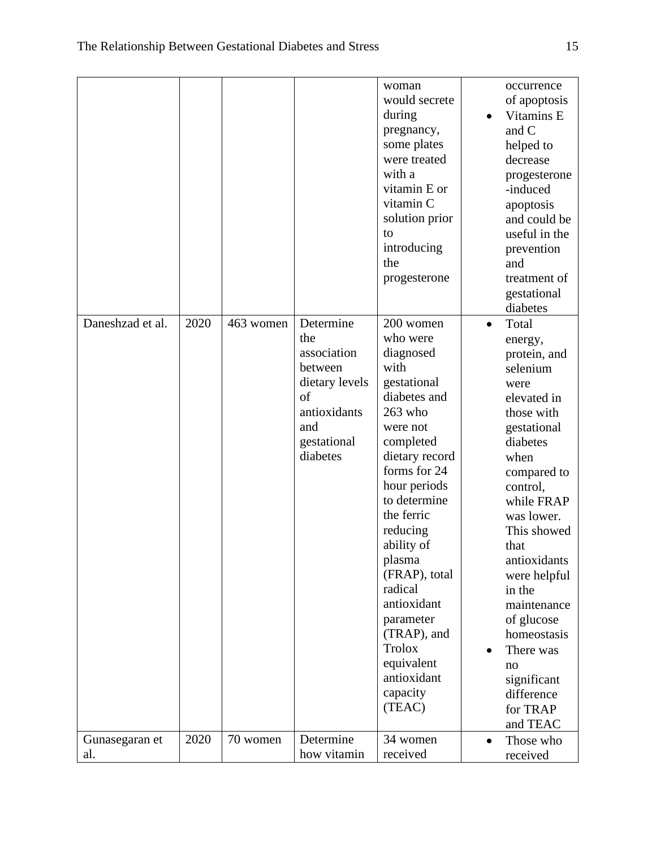|                  |      |           |                | woman          |           | occurrence    |
|------------------|------|-----------|----------------|----------------|-----------|---------------|
|                  |      |           |                | would secrete  |           | of apoptosis  |
|                  |      |           |                | during         |           | Vitamins E    |
|                  |      |           |                | pregnancy,     |           | and C         |
|                  |      |           |                | some plates    |           | helped to     |
|                  |      |           |                | were treated   |           | decrease      |
|                  |      |           |                | with a         |           | progesterone  |
|                  |      |           |                | vitamin E or   |           | -induced      |
|                  |      |           |                | vitamin C      |           |               |
|                  |      |           |                |                |           | apoptosis     |
|                  |      |           |                | solution prior |           | and could be  |
|                  |      |           |                | to             |           | useful in the |
|                  |      |           |                | introducing    |           | prevention    |
|                  |      |           |                | the            |           | and           |
|                  |      |           |                | progesterone   |           | treatment of  |
|                  |      |           |                |                |           | gestational   |
|                  |      |           |                |                |           | diabetes      |
| Daneshzad et al. | 2020 | 463 women | Determine      | 200 women      | $\bullet$ | Total         |
|                  |      |           | the            | who were       |           | energy,       |
|                  |      |           | association    | diagnosed      |           | protein, and  |
|                  |      |           | between        | with           |           | selenium      |
|                  |      |           | dietary levels | gestational    |           | were          |
|                  |      |           | of             | diabetes and   |           | elevated in   |
|                  |      |           | antioxidants   | 263 who        |           | those with    |
|                  |      |           | and            | were not       |           | gestational   |
|                  |      |           | gestational    | completed      |           | diabetes      |
|                  |      |           | diabetes       | dietary record |           | when          |
|                  |      |           |                | forms for 24   |           |               |
|                  |      |           |                |                |           | compared to   |
|                  |      |           |                | hour periods   |           | control,      |
|                  |      |           |                | to determine   |           | while FRAP    |
|                  |      |           |                | the ferric     |           | was lower.    |
|                  |      |           |                | reducing       |           | This showed   |
|                  |      |           |                | ability of     |           | that          |
|                  |      |           |                | plasma         |           | antioxidants  |
|                  |      |           |                | (FRAP), total  |           | were helpful  |
|                  |      |           |                | radical        |           | in the        |
|                  |      |           |                | antioxidant    |           | maintenance   |
|                  |      |           |                | parameter      |           | of glucose    |
|                  |      |           |                | (TRAP), and    |           | homeostasis   |
|                  |      |           |                | Trolox         |           | There was     |
|                  |      |           |                | equivalent     |           | no            |
|                  |      |           |                | antioxidant    |           | significant   |
|                  |      |           |                | capacity       |           | difference    |
|                  |      |           |                | (TEAC)         |           |               |
|                  |      |           |                |                |           | for TRAP      |
|                  |      |           |                |                |           | and TEAC      |
| Gunasegaran et   | 2020 | 70 women  | Determine      | 34 women       | $\bullet$ | Those who     |
| al.              |      |           | how vitamin    | received       |           | received      |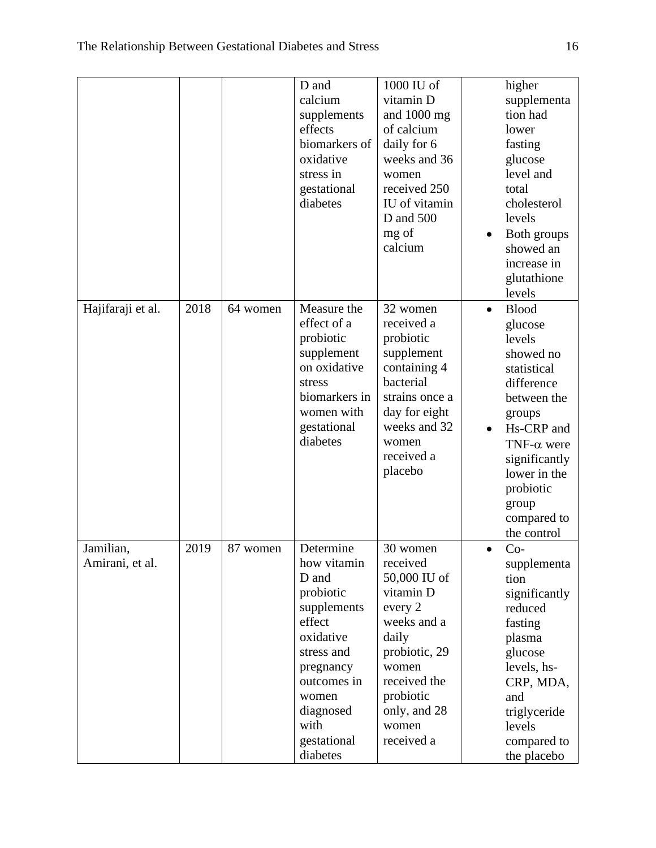|                              |      |          | D and<br>calcium<br>supplements<br>effects<br>biomarkers of<br>oxidative<br>stress in<br>gestational<br>diabetes                                                                        | 1000 IU of<br>vitamin D<br>and 1000 mg<br>of calcium<br>daily for 6<br>weeks and 36<br>women<br>received 250<br>IU of vitamin<br>D and 500<br>mg of<br>calcium                     | $\bullet$ | higher<br>supplementa<br>tion had<br>lower<br>fasting<br>glucose<br>level and<br>total<br>cholesterol<br>levels<br>Both groups<br>showed an<br>increase in<br>glutathione                                                               |
|------------------------------|------|----------|-----------------------------------------------------------------------------------------------------------------------------------------------------------------------------------------|------------------------------------------------------------------------------------------------------------------------------------------------------------------------------------|-----------|-----------------------------------------------------------------------------------------------------------------------------------------------------------------------------------------------------------------------------------------|
| Hajifaraji et al.            | 2018 | 64 women | Measure the<br>effect of a<br>probiotic<br>supplement<br>on oxidative<br>stress<br>biomarkers in<br>women with<br>gestational<br>diabetes                                               | 32 women<br>received a<br>probiotic<br>supplement<br>containing 4<br>bacterial<br>strains once a<br>day for eight<br>weeks and 32<br>women<br>received a<br>placebo                | $\bullet$ | levels<br><b>Blood</b><br>glucose<br>levels<br>showed no<br>statistical<br>difference<br>between the<br>groups<br>Hs-CRP and<br>TNF- $\alpha$ were<br>significantly<br>lower in the<br>probiotic<br>group<br>compared to<br>the control |
| Jamilian,<br>Amirani, et al. | 2019 | 87 women | Determine<br>how vitamin<br>D and<br>probiotic<br>supplements<br>effect<br>oxidative<br>stress and<br>pregnancy<br>outcomes in<br>women<br>diagnosed<br>with<br>gestational<br>diabetes | 30 women<br>received<br>50,000 IU of<br>vitamin D<br>every 2<br>weeks and a<br>daily<br>probiotic, 29<br>women<br>received the<br>probiotic<br>only, and 28<br>women<br>received a | $\bullet$ | $Co-$<br>supplementa<br>tion<br>significantly<br>reduced<br>fasting<br>plasma<br>glucose<br>levels, hs-<br>CRP, MDA,<br>and<br>triglyceride<br>levels<br>compared to<br>the placebo                                                     |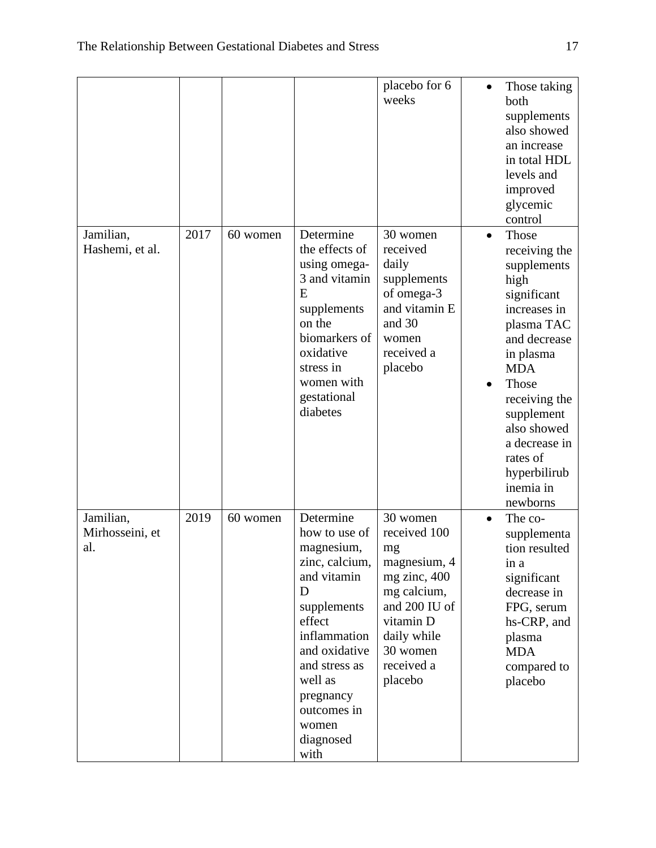|                                     |      |          |                                                                                                                                                                                                                                | placebo for 6<br>weeks                                                                                                                                          |           | Those taking<br>both<br>supplements<br>also showed<br>an increase<br>in total HDL<br>levels and<br>improved<br>glycemic<br>control                                                                                                                                 |
|-------------------------------------|------|----------|--------------------------------------------------------------------------------------------------------------------------------------------------------------------------------------------------------------------------------|-----------------------------------------------------------------------------------------------------------------------------------------------------------------|-----------|--------------------------------------------------------------------------------------------------------------------------------------------------------------------------------------------------------------------------------------------------------------------|
| Jamilian,<br>Hashemi, et al.        | 2017 | 60 women | Determine<br>the effects of<br>using omega-<br>3 and vitamin<br>Ε<br>supplements<br>on the<br>biomarkers of<br>oxidative<br>stress in<br>women with<br>gestational<br>diabetes                                                 | 30 women<br>received<br>daily<br>supplements<br>of omega-3<br>and vitamin E<br>and 30<br>women<br>received a<br>placebo                                         | $\bullet$ | Those<br>receiving the<br>supplements<br>high<br>significant<br>increases in<br>plasma TAC<br>and decrease<br>in plasma<br><b>MDA</b><br>Those<br>receiving the<br>supplement<br>also showed<br>a decrease in<br>rates of<br>hyperbilirub<br>inemia in<br>newborns |
| Jamilian,<br>Mirhosseini, et<br>al. | 2019 | 60 women | Determine<br>how to use of<br>magnesium,<br>zinc, calcium,<br>and vitamin<br>D<br>supplements<br>effect<br>inflammation<br>and oxidative<br>and stress as<br>well as<br>pregnancy<br>outcomes in<br>women<br>diagnosed<br>with | 30 women<br>received 100<br>mg<br>magnesium, 4<br>mg zinc, 400<br>mg calcium,<br>and 200 IU of<br>vitamin D<br>daily while<br>30 women<br>received a<br>placebo | $\bullet$ | The co-<br>supplementa<br>tion resulted<br>in a<br>significant<br>decrease in<br>FPG, serum<br>hs-CRP, and<br>plasma<br><b>MDA</b><br>compared to<br>placebo                                                                                                       |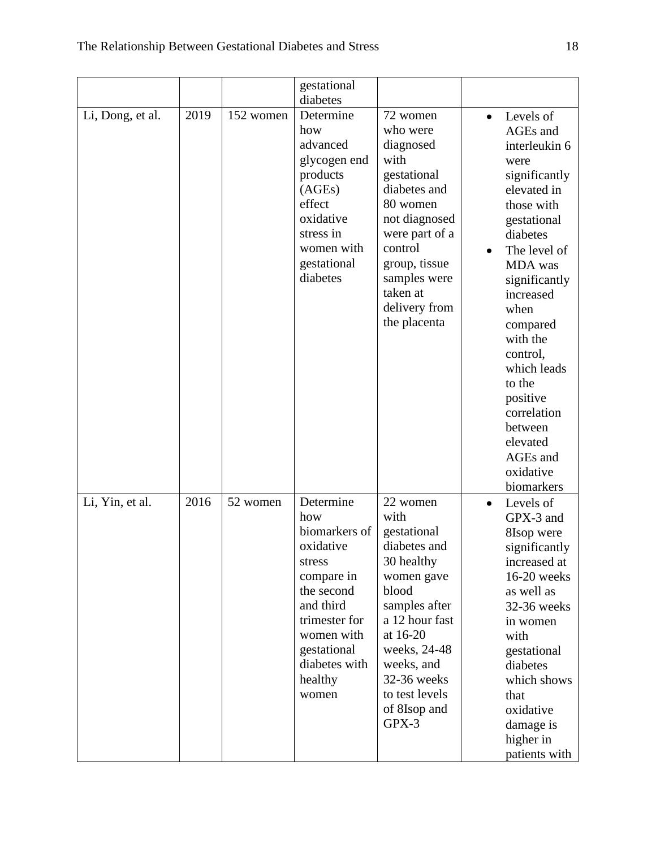|                  |      |           | gestational                                                                                                                                                                          |                                                                                                                                                                                                                             |           |                                                                                                                                                                                                                                                 |
|------------------|------|-----------|--------------------------------------------------------------------------------------------------------------------------------------------------------------------------------------|-----------------------------------------------------------------------------------------------------------------------------------------------------------------------------------------------------------------------------|-----------|-------------------------------------------------------------------------------------------------------------------------------------------------------------------------------------------------------------------------------------------------|
| Li, Dong, et al. | 2019 | 152 women | diabetes<br>Determine<br>how<br>advanced<br>glycogen end<br>products<br>(AGES)<br>effect<br>oxidative<br>stress in<br>women with<br>gestational<br>diabetes                          | 72 women<br>who were<br>diagnosed<br>with<br>gestational<br>diabetes and<br>80 women<br>not diagnosed<br>were part of a<br>control<br>group, tissue<br>samples were                                                         | $\bullet$ | Levels of<br>AGEs and<br>interleukin 6<br>were<br>significantly<br>elevated in<br>those with<br>gestational<br>diabetes<br>The level of<br>MDA was<br>significantly                                                                             |
|                  |      |           |                                                                                                                                                                                      | taken at<br>delivery from<br>the placenta                                                                                                                                                                                   |           | increased<br>when<br>compared<br>with the<br>control,<br>which leads<br>to the<br>positive<br>correlation<br>between<br>elevated<br>AGEs and<br>oxidative<br>biomarkers                                                                         |
| Li, Yin, et al.  | 2016 | 52 women  | Determine<br>how<br>biomarkers of<br>oxidative<br>stress<br>compare in<br>the second<br>and third<br>trimester for<br>women with<br>gestational<br>diabetes with<br>healthy<br>women | 22 women<br>with<br>gestational<br>diabetes and<br>30 healthy<br>women gave<br>blood<br>samples after<br>a 12 hour fast<br>at 16-20<br>weeks, 24-48<br>weeks, and<br>32-36 weeks<br>to test levels<br>of 8Isop and<br>GPX-3 | $\bullet$ | Levels of<br>GPX-3 and<br>8Isop were<br>significantly<br>increased at<br>16-20 weeks<br>as well as<br>32-36 weeks<br>in women<br>with<br>gestational<br>diabetes<br>which shows<br>that<br>oxidative<br>damage is<br>higher in<br>patients with |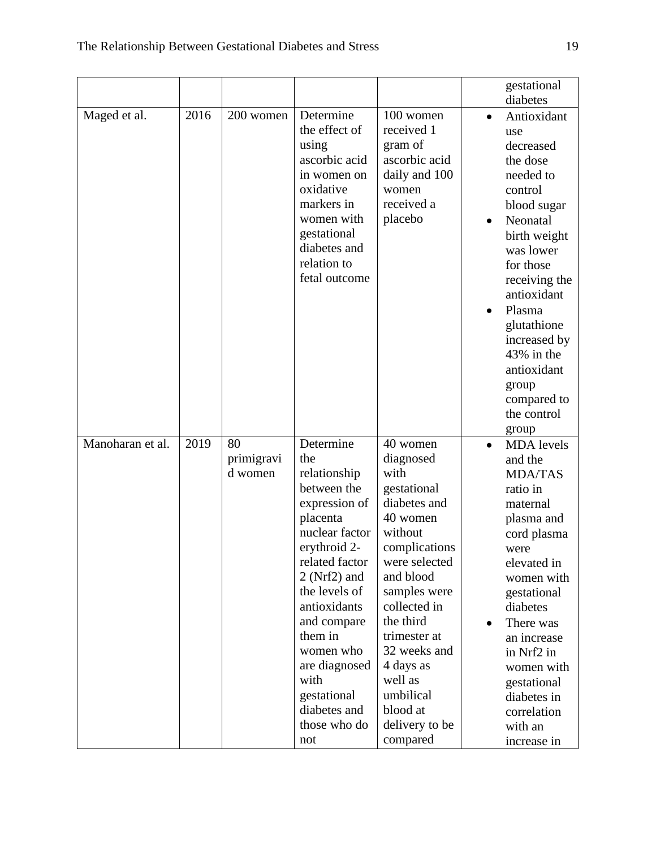|                  |      |                       |                              |                           |           | gestational                  |
|------------------|------|-----------------------|------------------------------|---------------------------|-----------|------------------------------|
|                  |      |                       |                              |                           |           | diabetes                     |
| Maged et al.     | 2016 | 200 women             | Determine<br>the effect of   | 100 women<br>received 1   | $\bullet$ | Antioxidant<br>use           |
|                  |      |                       | using                        | gram of                   |           | decreased                    |
|                  |      |                       | ascorbic acid                | ascorbic acid             |           | the dose                     |
|                  |      |                       | in women on                  | daily and 100             |           | needed to                    |
|                  |      |                       | oxidative                    | women                     |           | control                      |
|                  |      |                       | markers in                   | received a                |           | blood sugar                  |
|                  |      |                       | women with                   | placebo                   | $\bullet$ | Neonatal                     |
|                  |      |                       | gestational                  |                           |           | birth weight                 |
|                  |      |                       | diabetes and                 |                           |           | was lower                    |
|                  |      |                       | relation to<br>fetal outcome |                           |           | for those                    |
|                  |      |                       |                              |                           |           | receiving the<br>antioxidant |
|                  |      |                       |                              |                           |           | Plasma                       |
|                  |      |                       |                              |                           |           | glutathione                  |
|                  |      |                       |                              |                           |           | increased by                 |
|                  |      |                       |                              |                           |           | 43% in the                   |
|                  |      |                       |                              |                           |           | antioxidant                  |
|                  |      |                       |                              |                           |           | group                        |
|                  |      |                       |                              |                           |           | compared to                  |
|                  |      |                       |                              |                           |           | the control                  |
|                  |      |                       |                              |                           |           | group                        |
| Manoharan et al. | 2019 | 80                    | Determine<br>the             | 40 women                  |           | <b>MDA</b> levels            |
|                  |      | primigravi<br>d women | relationship                 | diagnosed<br>with         |           | and the<br><b>MDA/TAS</b>    |
|                  |      |                       | between the                  | gestational               |           | ratio in                     |
|                  |      |                       | expression of                | diabetes and              |           | maternal                     |
|                  |      |                       | placenta                     | 40 women                  |           | plasma and                   |
|                  |      |                       | nuclear factor               | without                   |           | cord plasma                  |
|                  |      |                       | erythroid 2-                 | complications             |           | were                         |
|                  |      |                       | related factor               | were selected             |           | elevated in                  |
|                  |      |                       | $2$ (Nrf2) and               | and blood                 |           | women with                   |
|                  |      |                       | the levels of                | samples were              |           | gestational                  |
|                  |      |                       | antioxidants                 | collected in<br>the third |           | diabetes                     |
|                  |      |                       | and compare<br>them in       | trimester at              |           | There was                    |
|                  |      |                       | women who                    | 32 weeks and              |           | an increase<br>in Nrf2 in    |
|                  |      |                       | are diagnosed                | 4 days as                 |           | women with                   |
|                  |      |                       | with                         | well as                   |           | gestational                  |
|                  |      |                       | gestational                  | umbilical                 |           | diabetes in                  |
|                  |      |                       | diabetes and                 | blood at                  |           | correlation                  |
|                  |      |                       | those who do                 | delivery to be            |           | with an                      |
|                  |      |                       | not                          | compared                  |           | increase in                  |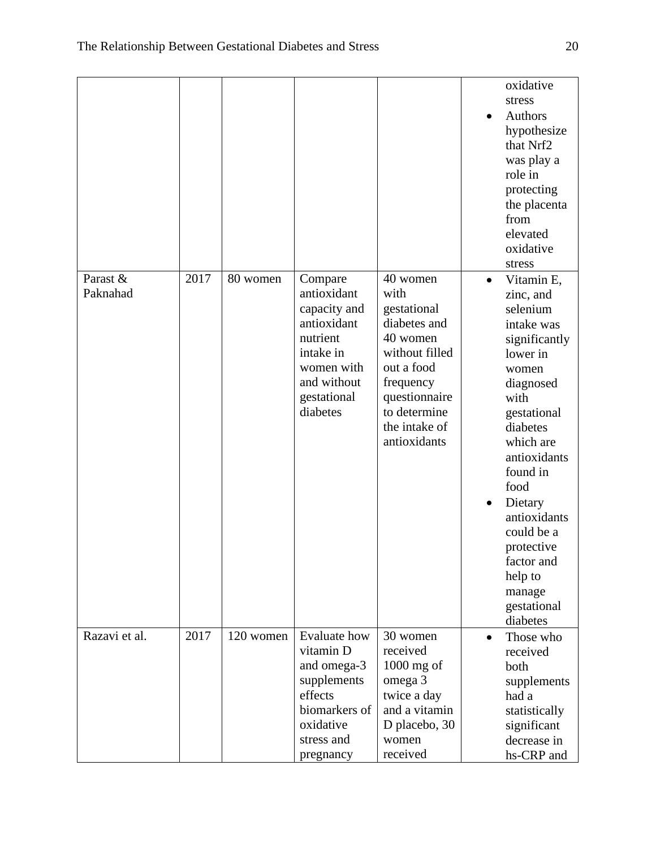|                      |      |           |                                                                                                                                        |                                                                                                                                                                            | $\bullet$              | oxidative<br>stress<br>Authors<br>hypothesize<br>that Nrf2<br>was play a<br>role in<br>protecting<br>the placenta<br>from<br>elevated<br>oxidative<br>stress                                                                                                                                                  |
|----------------------|------|-----------|----------------------------------------------------------------------------------------------------------------------------------------|----------------------------------------------------------------------------------------------------------------------------------------------------------------------------|------------------------|---------------------------------------------------------------------------------------------------------------------------------------------------------------------------------------------------------------------------------------------------------------------------------------------------------------|
| Parast &<br>Paknahad | 2017 | 80 women  | Compare<br>antioxidant<br>capacity and<br>antioxidant<br>nutrient<br>intake in<br>women with<br>and without<br>gestational<br>diabetes | 40 women<br>with<br>gestational<br>diabetes and<br>40 women<br>without filled<br>out a food<br>frequency<br>questionnaire<br>to determine<br>the intake of<br>antioxidants | $\bullet$<br>$\bullet$ | Vitamin E,<br>zinc, and<br>selenium<br>intake was<br>significantly<br>lower in<br>women<br>diagnosed<br>with<br>gestational<br>diabetes<br>which are<br>antioxidants<br>found in<br>food<br>Dietary<br>antioxidants<br>could be a<br>protective<br>factor and<br>help to<br>manage<br>gestational<br>diabetes |
| Razavi et al.        | 2017 | 120 women | <b>Evaluate how</b><br>vitamin D<br>and omega-3<br>supplements<br>effects<br>biomarkers of<br>oxidative<br>stress and<br>pregnancy     | 30 women<br>received<br>$1000$ mg of<br>omega 3<br>twice a day<br>and a vitamin<br>D placebo, 30<br>women<br>received                                                      | $\bullet$              | Those who<br>received<br>both<br>supplements<br>had a<br>statistically<br>significant<br>decrease in<br>hs-CRP and                                                                                                                                                                                            |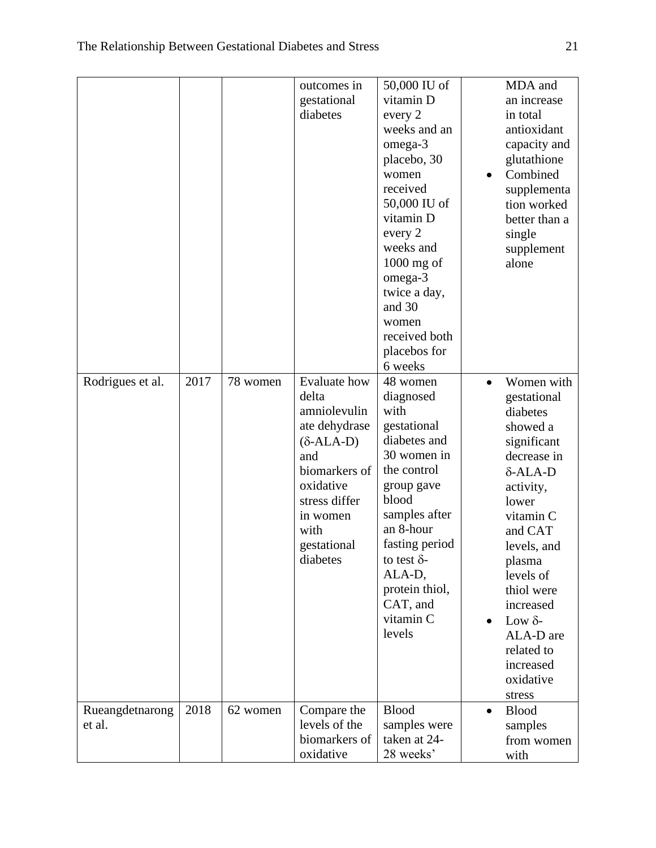|                  |      |          | outcomes in         | 50,000 IU of       | MDA and                   |  |
|------------------|------|----------|---------------------|--------------------|---------------------------|--|
|                  |      |          | gestational         | vitamin D          | an increase               |  |
|                  |      |          | diabetes            | every 2            | in total                  |  |
|                  |      |          |                     | weeks and an       | antioxidant               |  |
|                  |      |          |                     | omega-3            | capacity and              |  |
|                  |      |          |                     | placebo, 30        | glutathione               |  |
|                  |      |          |                     | women              | Combined                  |  |
|                  |      |          |                     | received           | supplementa               |  |
|                  |      |          |                     | 50,000 IU of       | tion worked               |  |
|                  |      |          |                     | vitamin D          | better than a             |  |
|                  |      |          |                     | every 2            | single                    |  |
|                  |      |          |                     | weeks and          | supplement                |  |
|                  |      |          |                     | $1000$ mg of       | alone                     |  |
|                  |      |          |                     | omega-3            |                           |  |
|                  |      |          |                     | twice a day,       |                           |  |
|                  |      |          |                     | and 30             |                           |  |
|                  |      |          |                     | women              |                           |  |
|                  |      |          |                     | received both      |                           |  |
|                  |      |          |                     | placebos for       |                           |  |
|                  |      |          |                     | 6 weeks            |                           |  |
| Rodrigues et al. | 2017 | 78 women | <b>Evaluate</b> how | 48 women           | Women with                |  |
|                  |      |          | delta               | diagnosed          | gestational               |  |
|                  |      |          | amniolevulin        | with               | diabetes                  |  |
|                  |      |          | ate dehydrase       | gestational        | showed a                  |  |
|                  |      |          | $(\delta$ -ALA-D)   | diabetes and       | significant               |  |
|                  |      |          | and                 | 30 women in        | decrease in               |  |
|                  |      |          | biomarkers of       | the control        | $\delta$ -ALA-D           |  |
|                  |      |          | oxidative           | group gave         | activity,                 |  |
|                  |      |          | stress differ       | blood              | lower                     |  |
|                  |      |          | in women            | samples after      | vitamin C                 |  |
|                  |      |          | with                | an 8-hour          | and CAT                   |  |
|                  |      |          | gestational         | fasting period     | levels, and               |  |
|                  |      |          | diabetes            | to test $\delta$ - | plasma                    |  |
|                  |      |          |                     | ALA-D,             | levels of                 |  |
|                  |      |          |                     | protein thiol,     | thiol were                |  |
|                  |      |          |                     | CAT, and           | increased                 |  |
|                  |      |          |                     | vitamin C          | Low $\delta$ -            |  |
|                  |      |          |                     | levels             | ALA-D are                 |  |
|                  |      |          |                     |                    | related to                |  |
|                  |      |          |                     |                    | increased                 |  |
|                  |      |          |                     |                    | oxidative                 |  |
|                  |      |          |                     |                    | stress                    |  |
| Rueangdetnarong  | 2018 | 62 women | Compare the         | <b>Blood</b>       | <b>Blood</b><br>$\bullet$ |  |
| et al.           |      |          | levels of the       | samples were       | samples                   |  |
|                  |      |          | biomarkers of       | taken at 24-       | from women                |  |
|                  |      |          | oxidative           | 28 weeks'          | with                      |  |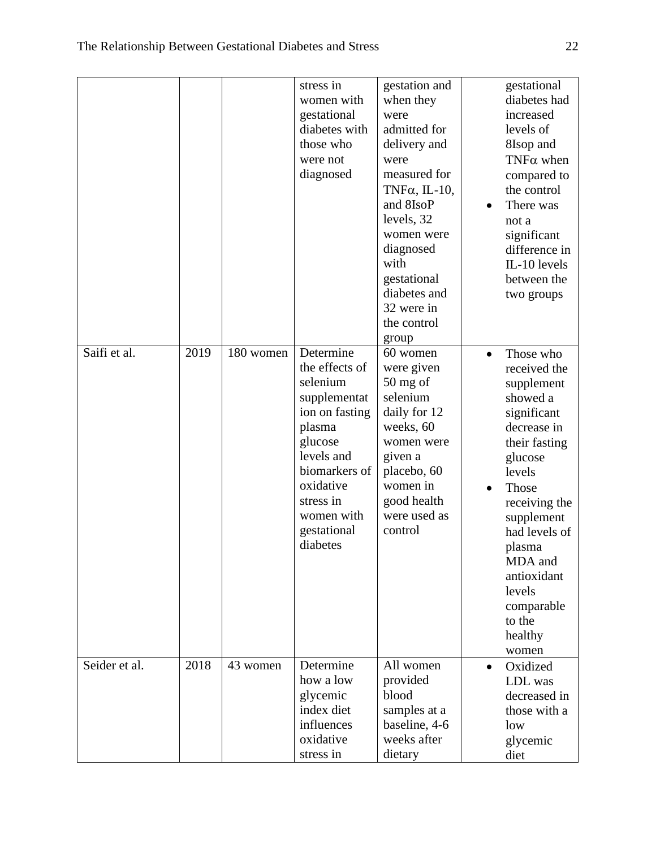|               |      |           | stress in<br>women with<br>gestational<br>diabetes with<br>those who<br>were not<br>diagnosed                                                                                                    | gestation and<br>when they<br>were<br>admitted for<br>delivery and<br>were<br>measured for<br>TNF $\alpha$ , IL-10,<br>and 8IsoP<br>levels, 32<br>women were<br>diagnosed<br>with<br>gestational<br>diabetes and<br>32 were in<br>the control<br>group |           | gestational<br>diabetes had<br>increased<br>levels of<br>8Isop and<br>TNF $\alpha$ when<br>compared to<br>the control<br>There was<br>not a<br>significant<br>difference in<br>IL-10 levels<br>between the<br>two groups                                                   |
|---------------|------|-----------|--------------------------------------------------------------------------------------------------------------------------------------------------------------------------------------------------|--------------------------------------------------------------------------------------------------------------------------------------------------------------------------------------------------------------------------------------------------------|-----------|----------------------------------------------------------------------------------------------------------------------------------------------------------------------------------------------------------------------------------------------------------------------------|
| Saifi et al.  | 2019 | 180 women | Determine<br>the effects of<br>selenium<br>supplementat<br>ion on fasting<br>plasma<br>glucose<br>levels and<br>biomarkers of<br>oxidative<br>stress in<br>women with<br>gestational<br>diabetes | 60 women<br>were given<br>$50$ mg of<br>selenium<br>daily for 12<br>weeks, 60<br>women were<br>given a<br>placebo, 60<br>women in<br>good health<br>were used as<br>control                                                                            | $\bullet$ | Those who<br>received the<br>supplement<br>showed a<br>significant<br>decrease in<br>their fasting<br>glucose<br>levels<br>Those<br>receiving the<br>supplement<br>had levels of<br>plasma<br>MDA and<br>antioxidant<br>levels<br>comparable<br>to the<br>healthy<br>women |
| Seider et al. | 2018 | 43 women  | Determine<br>how a low<br>glycemic<br>index diet<br>influences<br>oxidative<br>stress in                                                                                                         | All women<br>provided<br>blood<br>samples at a<br>baseline, 4-6<br>weeks after<br>dietary                                                                                                                                                              | $\bullet$ | Oxidized<br>LDL was<br>decreased in<br>those with a<br>low<br>glycemic<br>diet                                                                                                                                                                                             |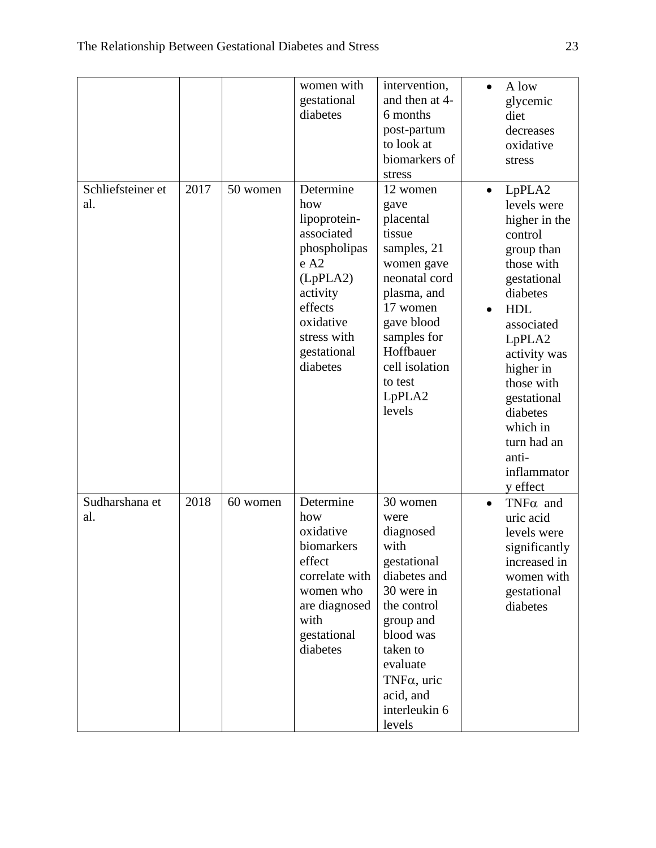|                          |      |          | women with<br>gestational<br>diabetes                                                                                                                            | intervention,<br>and then at 4-<br>6 months<br>post-partum<br>to look at<br>biomarkers of<br>stress                                                                                                                | $\bullet$ | A low<br>glycemic<br>diet<br>decreases<br>oxidative<br>stress                                                                                                                                                                                                                       |
|--------------------------|------|----------|------------------------------------------------------------------------------------------------------------------------------------------------------------------|--------------------------------------------------------------------------------------------------------------------------------------------------------------------------------------------------------------------|-----------|-------------------------------------------------------------------------------------------------------------------------------------------------------------------------------------------------------------------------------------------------------------------------------------|
| Schliefsteiner et<br>al. | 2017 | 50 women | Determine<br>how<br>lipoprotein-<br>associated<br>phospholipas<br>e A2<br>(LpPLA2)<br>activity<br>effects<br>oxidative<br>stress with<br>gestational<br>diabetes | 12 women<br>gave<br>placental<br>tissue<br>samples, 21<br>women gave<br>neonatal cord<br>plasma, and<br>17 women<br>gave blood<br>samples for<br>Hoffbauer<br>cell isolation<br>to test<br>LpPLA2<br>levels        | $\bullet$ | LpPLA2<br>levels were<br>higher in the<br>control<br>group than<br>those with<br>gestational<br>diabetes<br><b>HDL</b><br>associated<br>LpPLA2<br>activity was<br>higher in<br>those with<br>gestational<br>diabetes<br>which in<br>turn had an<br>anti-<br>inflammator<br>y effect |
| Sudharshana et<br>al.    | 2018 | 60 women | Determine<br>how<br>oxidative<br>biomarkers<br>effect<br>correlate with<br>women who<br>are diagnosed<br>with<br>gestational<br>diabetes                         | 30 women<br>were<br>diagnosed<br>with<br>gestational<br>diabetes and<br>30 were in<br>the control<br>group and<br>blood was<br>taken to<br>evaluate<br>TNF $\alpha$ , uric<br>acid, and<br>interleukin 6<br>levels | $\bullet$ | $TNF\alpha$ and<br>uric acid<br>levels were<br>significantly<br>increased in<br>women with<br>gestational<br>diabetes                                                                                                                                                               |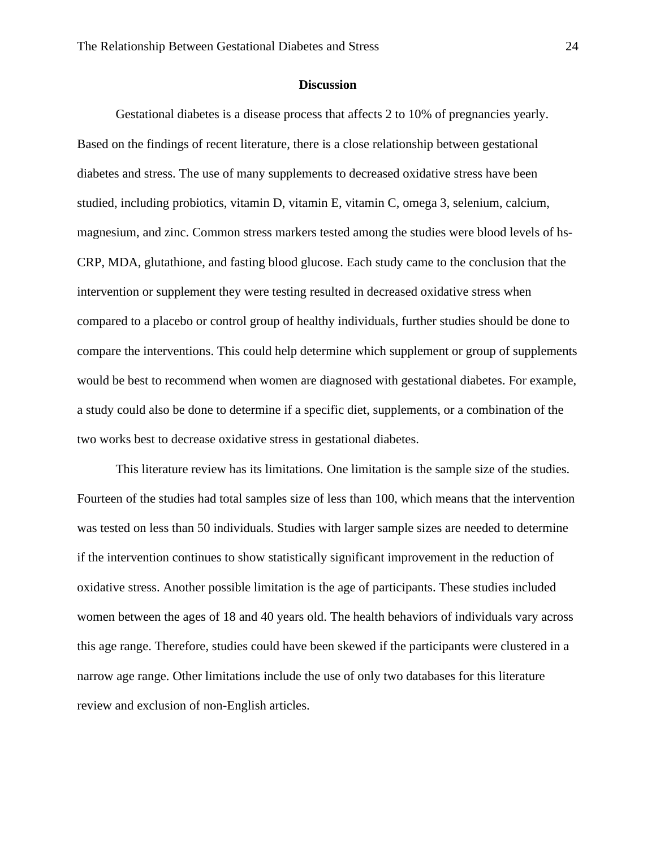#### **Discussion**

Gestational diabetes is a disease process that affects 2 to 10% of pregnancies yearly. Based on the findings of recent literature, there is a close relationship between gestational diabetes and stress. The use of many supplements to decreased oxidative stress have been studied, including probiotics, vitamin D, vitamin E, vitamin C, omega 3, selenium, calcium, magnesium, and zinc. Common stress markers tested among the studies were blood levels of hs-CRP, MDA, glutathione, and fasting blood glucose. Each study came to the conclusion that the intervention or supplement they were testing resulted in decreased oxidative stress when compared to a placebo or control group of healthy individuals, further studies should be done to compare the interventions. This could help determine which supplement or group of supplements would be best to recommend when women are diagnosed with gestational diabetes. For example, a study could also be done to determine if a specific diet, supplements, or a combination of the two works best to decrease oxidative stress in gestational diabetes.

This literature review has its limitations. One limitation is the sample size of the studies. Fourteen of the studies had total samples size of less than 100, which means that the intervention was tested on less than 50 individuals. Studies with larger sample sizes are needed to determine if the intervention continues to show statistically significant improvement in the reduction of oxidative stress. Another possible limitation is the age of participants. These studies included women between the ages of 18 and 40 years old. The health behaviors of individuals vary across this age range. Therefore, studies could have been skewed if the participants were clustered in a narrow age range. Other limitations include the use of only two databases for this literature review and exclusion of non-English articles.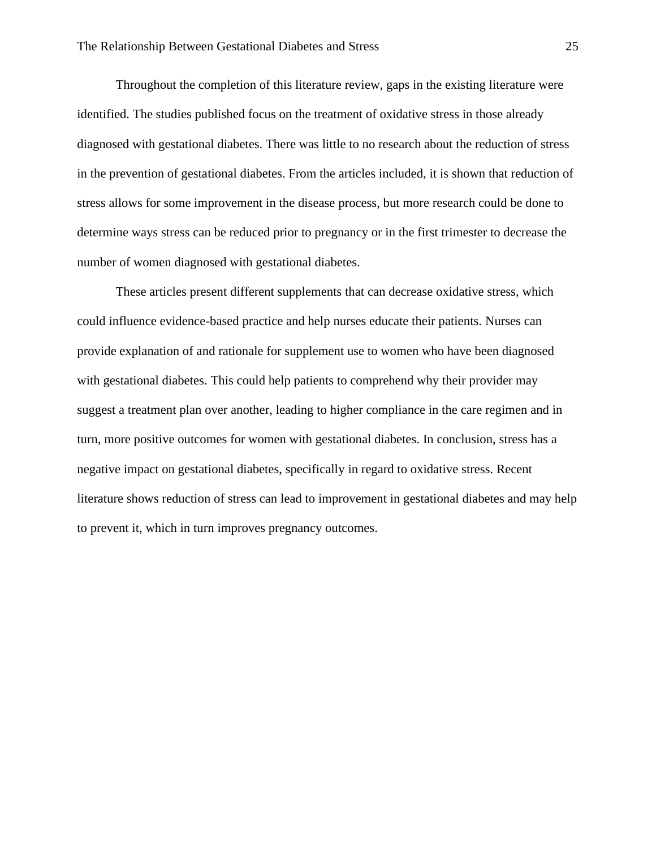Throughout the completion of this literature review, gaps in the existing literature were identified. The studies published focus on the treatment of oxidative stress in those already diagnosed with gestational diabetes. There was little to no research about the reduction of stress in the prevention of gestational diabetes. From the articles included, it is shown that reduction of stress allows for some improvement in the disease process, but more research could be done to determine ways stress can be reduced prior to pregnancy or in the first trimester to decrease the number of women diagnosed with gestational diabetes.

These articles present different supplements that can decrease oxidative stress, which could influence evidence-based practice and help nurses educate their patients. Nurses can provide explanation of and rationale for supplement use to women who have been diagnosed with gestational diabetes. This could help patients to comprehend why their provider may suggest a treatment plan over another, leading to higher compliance in the care regimen and in turn, more positive outcomes for women with gestational diabetes. In conclusion, stress has a negative impact on gestational diabetes, specifically in regard to oxidative stress. Recent literature shows reduction of stress can lead to improvement in gestational diabetes and may help to prevent it, which in turn improves pregnancy outcomes.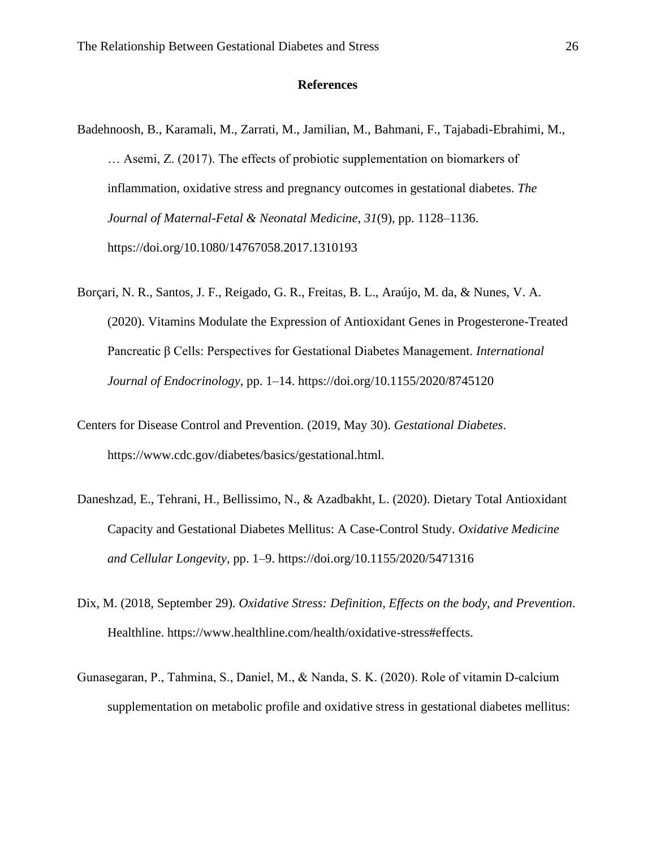### **References**

- Badehnoosh, B., Karamali, M., Zarrati, M., Jamilian, M., Bahmani, F., Tajabadi-Ebrahimi, M., … Asemi, Z. (2017). The effects of probiotic supplementation on biomarkers of inflammation, oxidative stress and pregnancy outcomes in gestational diabetes. *The Journal of Maternal-Fetal & Neonatal Medicine*, *31*(9), pp. 1128–1136. https://doi.org/10.1080/14767058.2017.1310193
- Borçari, N. R., Santos, J. F., Reigado, G. R., Freitas, B. L., Araújo, M. da, & Nunes, V. A. (2020). Vitamins Modulate the Expression of Antioxidant Genes in Progesterone-Treated Pancreatic β Cells: Perspectives for Gestational Diabetes Management. *International Journal of Endocrinology*, pp. 1–14. https://doi.org/10.1155/2020/8745120
- Centers for Disease Control and Prevention. (2019, May 30). *Gestational Diabetes*. https://www.cdc.gov/diabetes/basics/gestational.html.
- Daneshzad, E., Tehrani, H., Bellissimo, N., & Azadbakht, L. (2020). Dietary Total Antioxidant Capacity and Gestational Diabetes Mellitus: A Case-Control Study. *Oxidative Medicine and Cellular Longevity*, pp. 1–9. https://doi.org/10.1155/2020/5471316
- Dix, M. (2018, September 29). *Oxidative Stress: Definition, Effects on the body, and Prevention*. Healthline. https://www.healthline.com/health/oxidative-stress#effects.
- Gunasegaran, P., Tahmina, S., Daniel, M., & Nanda, S. K. (2020). Role of vitamin D‐calcium supplementation on metabolic profile and oxidative stress in gestational diabetes mellitus: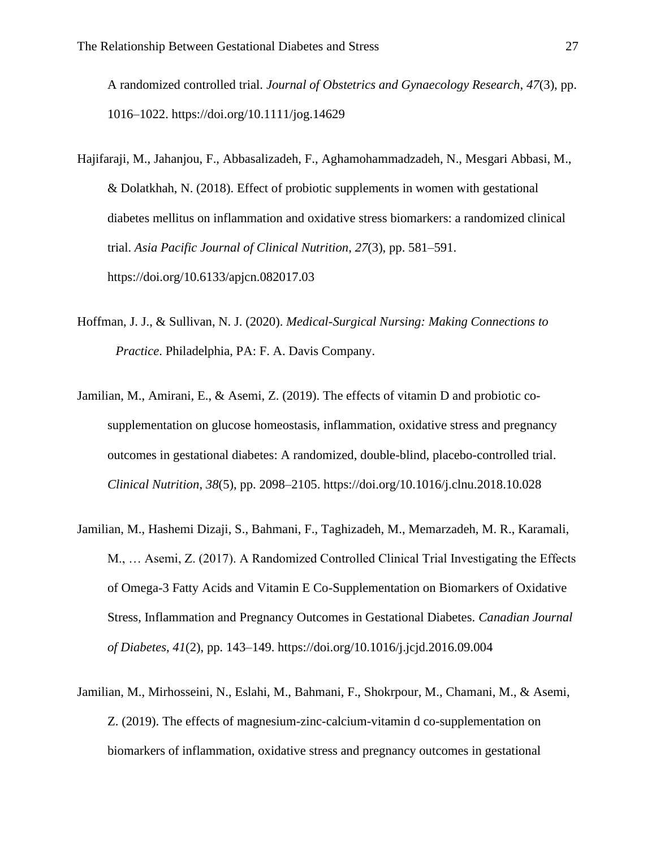A randomized controlled trial. *Journal of Obstetrics and Gynaecology Research*, *47*(3), pp. 1016–1022. https://doi.org/10.1111/jog.14629

- Hajifaraji, M., Jahanjou, F., Abbasalizadeh, F., Aghamohammadzadeh, N., Mesgari Abbasi, M., & Dolatkhah, N. (2018). Effect of probiotic supplements in women with gestational diabetes mellitus on inflammation and oxidative stress biomarkers: a randomized clinical trial. *Asia Pacific Journal of Clinical Nutrition*, *27*(3), pp. 581–591. https://doi.org/10.6133/apjcn.082017.03
- Hoffman, J. J., & Sullivan, N. J. (2020). *Medical-Surgical Nursing: Making Connections to Practice*. Philadelphia, PA: F. A. Davis Company.
- Jamilian, M., Amirani, E., & Asemi, Z. (2019). The effects of vitamin D and probiotic cosupplementation on glucose homeostasis, inflammation, oxidative stress and pregnancy outcomes in gestational diabetes: A randomized, double-blind, placebo-controlled trial. *Clinical Nutrition*, *38*(5), pp. 2098–2105. https://doi.org/10.1016/j.clnu.2018.10.028
- Jamilian, M., Hashemi Dizaji, S., Bahmani, F., Taghizadeh, M., Memarzadeh, M. R., Karamali, M., … Asemi, Z. (2017). A Randomized Controlled Clinical Trial Investigating the Effects of Omega-3 Fatty Acids and Vitamin E Co-Supplementation on Biomarkers of Oxidative Stress, Inflammation and Pregnancy Outcomes in Gestational Diabetes. *Canadian Journal of Diabetes*, *41*(2), pp. 143–149. https://doi.org/10.1016/j.jcjd.2016.09.004
- Jamilian, M., Mirhosseini, N., Eslahi, M., Bahmani, F., Shokrpour, M., Chamani, M., & Asemi, Z. (2019). The effects of magnesium-zinc-calcium-vitamin d co-supplementation on biomarkers of inflammation, oxidative stress and pregnancy outcomes in gestational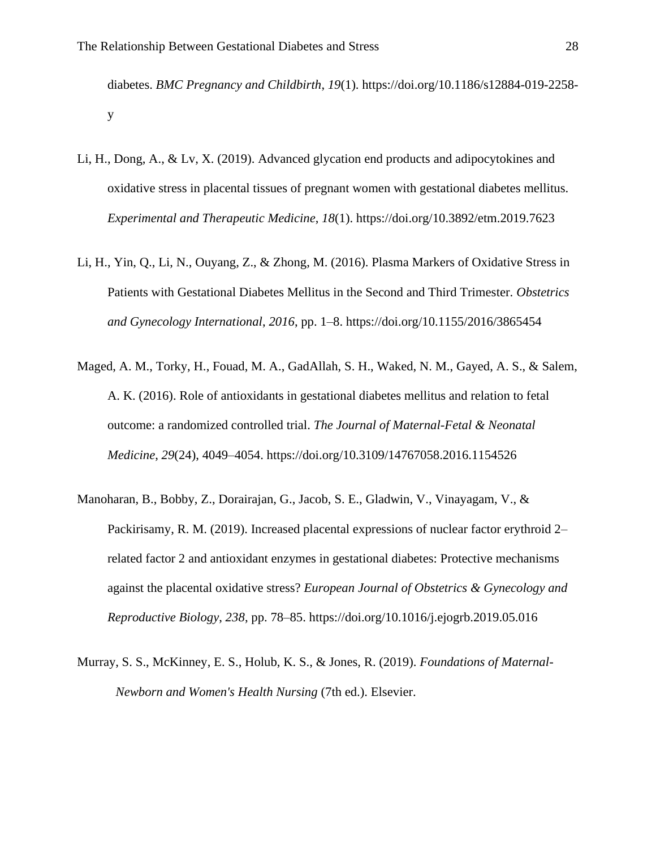diabetes. *BMC Pregnancy and Childbirth*, *19*(1). https://doi.org/10.1186/s12884-019-2258 y

- Li, H., Dong, A., & Lv, X. (2019). Advanced glycation end products and adipocytokines and oxidative stress in placental tissues of pregnant women with gestational diabetes mellitus. *Experimental and Therapeutic Medicine*, *18*(1). https://doi.org/10.3892/etm.2019.7623
- Li, H., Yin, Q., Li, N., Ouyang, Z., & Zhong, M. (2016). Plasma Markers of Oxidative Stress in Patients with Gestational Diabetes Mellitus in the Second and Third Trimester. *Obstetrics and Gynecology International*, *2016*, pp. 1–8. https://doi.org/10.1155/2016/3865454
- Maged, A. M., Torky, H., Fouad, M. A., GadAllah, S. H., Waked, N. M., Gayed, A. S., & Salem, A. K. (2016). Role of antioxidants in gestational diabetes mellitus and relation to fetal outcome: a randomized controlled trial. *The Journal of Maternal-Fetal & Neonatal Medicine*, *29*(24), 4049–4054. https://doi.org/10.3109/14767058.2016.1154526
- Manoharan, B., Bobby, Z., Dorairajan, G., Jacob, S. E., Gladwin, V., Vinayagam, V., & Packirisamy, R. M. (2019). Increased placental expressions of nuclear factor erythroid 2– related factor 2 and antioxidant enzymes in gestational diabetes: Protective mechanisms against the placental oxidative stress? *European Journal of Obstetrics & Gynecology and Reproductive Biology*, *238*, pp. 78–85. https://doi.org/10.1016/j.ejogrb.2019.05.016
- Murray, S. S., McKinney, E. S., Holub, K. S., & Jones, R. (2019). *Foundations of Maternal-Newborn and Women's Health Nursing* (7th ed.). Elsevier.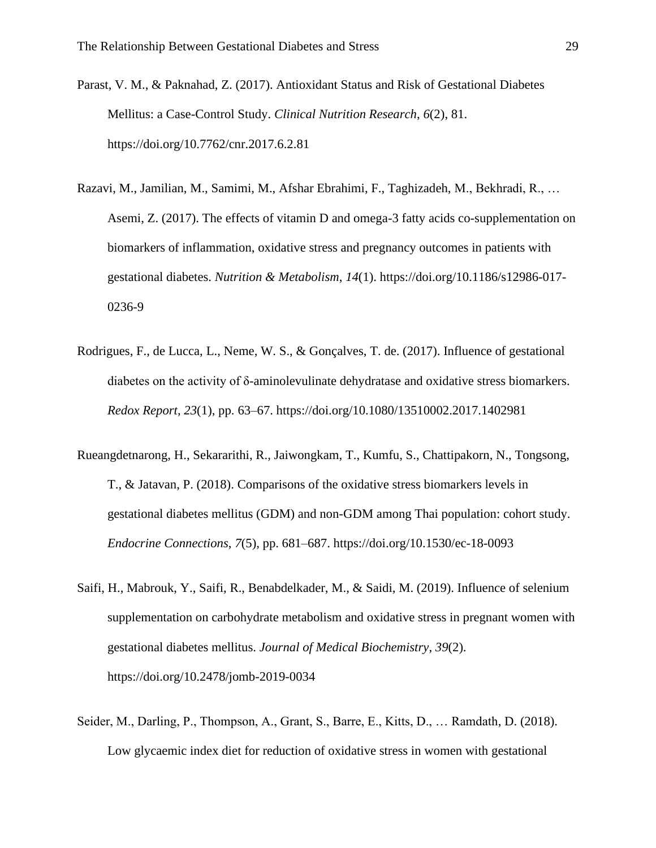- Parast, V. M., & Paknahad, Z. (2017). Antioxidant Status and Risk of Gestational Diabetes Mellitus: a Case-Control Study. *Clinical Nutrition Research*, *6*(2), 81. https://doi.org/10.7762/cnr.2017.6.2.81
- Razavi, M., Jamilian, M., Samimi, M., Afshar Ebrahimi, F., Taghizadeh, M., Bekhradi, R., … Asemi, Z. (2017). The effects of vitamin D and omega-3 fatty acids co-supplementation on biomarkers of inflammation, oxidative stress and pregnancy outcomes in patients with gestational diabetes. *Nutrition & Metabolism*, *14*(1). https://doi.org/10.1186/s12986-017- 0236-9
- Rodrigues, F., de Lucca, L., Neme, W. S., & Gonçalves, T. de. (2017). Influence of gestational diabetes on the activity of δ-aminolevulinate dehydratase and oxidative stress biomarkers. *Redox Report*, *23*(1), pp. 63–67. https://doi.org/10.1080/13510002.2017.1402981
- Rueangdetnarong, H., Sekararithi, R., Jaiwongkam, T., Kumfu, S., Chattipakorn, N., Tongsong, T., & Jatavan, P. (2018). Comparisons of the oxidative stress biomarkers levels in gestational diabetes mellitus (GDM) and non-GDM among Thai population: cohort study. *Endocrine Connections*, *7*(5), pp. 681–687. https://doi.org/10.1530/ec-18-0093
- Saifi, H., Mabrouk, Y., Saifi, R., Benabdelkader, M., & Saidi, M. (2019). Influence of selenium supplementation on carbohydrate metabolism and oxidative stress in pregnant women with gestational diabetes mellitus. *Journal of Medical Biochemistry*, *39*(2). https://doi.org/10.2478/jomb-2019-0034
- Seider, M., Darling, P., Thompson, A., Grant, S., Barre, E., Kitts, D., … Ramdath, D. (2018). Low glycaemic index diet for reduction of oxidative stress in women with gestational